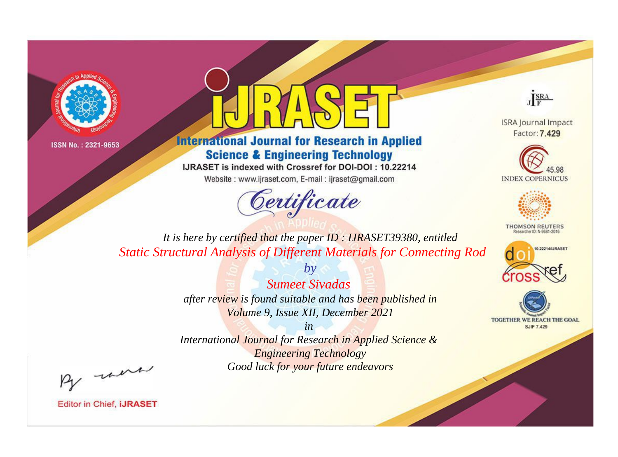



**International Journal for Research in Applied Science & Engineering Technology** 

IJRASET is indexed with Crossref for DOI-DOI: 10.22214

Website: www.ijraset.com, E-mail: ijraset@gmail.com



JERA

**ISRA Journal Impact** Factor: 7.429





**THOMSON REUTERS** 



TOGETHER WE REACH THE GOAL **SJIF 7.429** 

It is here by certified that the paper ID: IJRASET39380, entitled **Static Structural Analysis of Different Materials for Connecting Rod** 

> **Sumeet Sivadas** after review is found suitable and has been published in Volume 9, Issue XII, December 2021

 $b\nu$ 

International Journal for Research in Applied Science & **Engineering Technology** Good luck for your future endeavors

 $in$ 

By morn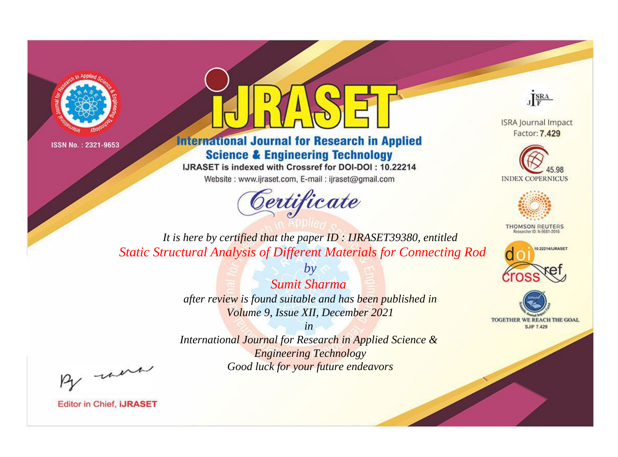



**International Journal for Research in Applied Science & Engineering Technology** 

IJRASET is indexed with Crossref for DOI-DOI: 10.22214

Website: www.ijraset.com, E-mail: ijraset@gmail.com



JERA

**ISRA Journal Impact** Factor: 7.429





**THOMSON REUTERS** 



TOGETHER WE REACH THE GOAL **SJIF 7.429** 

It is here by certified that the paper ID: IJRASET39380, entitled **Static Structural Analysis of Different Materials for Connecting Rod** 

> $b\nu$ **Sumit Sharma** after review is found suitable and has been published in Volume 9, Issue XII, December 2021

 $in$ International Journal for Research in Applied Science & **Engineering Technology** Good luck for your future endeavors

By morn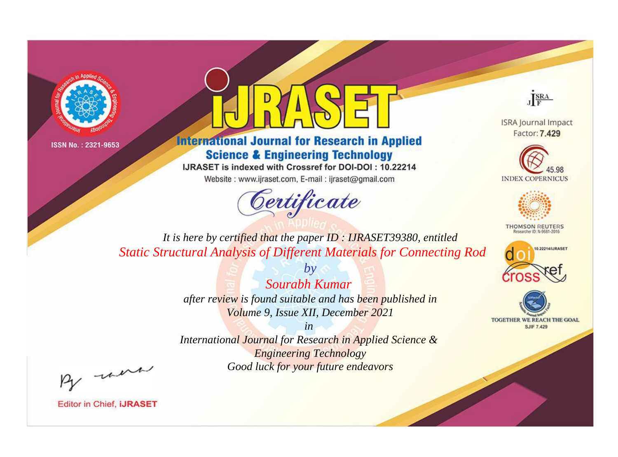



**International Journal for Research in Applied Science & Engineering Technology** 

IJRASET is indexed with Crossref for DOI-DOI: 10.22214

Website: www.ijraset.com, E-mail: ijraset@gmail.com





**ISRA Journal Impact** Factor: 7.429





**THOMSON REUTERS** 



TOGETHER WE REACH THE GOAL **SJIF 7.429** 

*It is here by certified that the paper ID : IJRASET39380, entitled Static Structural Analysis of Different Materials for Connecting Rod*

> *Sourabh Kumar after review is found suitable and has been published in Volume 9, Issue XII, December 2021*

*by*

*in International Journal for Research in Applied Science & Engineering Technology Good luck for your future endeavors*

By morn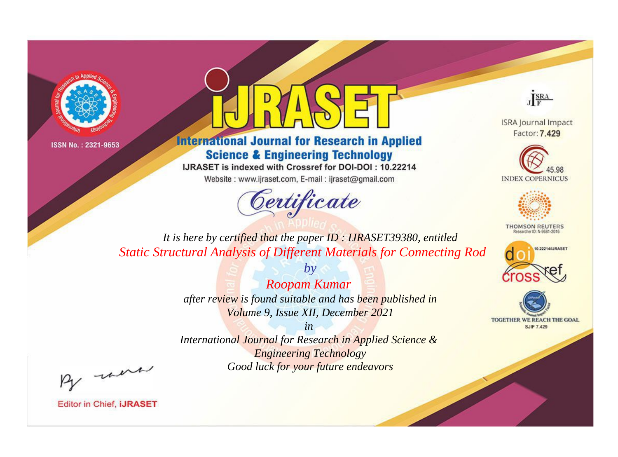



**International Journal for Research in Applied Science & Engineering Technology** 

IJRASET is indexed with Crossref for DOI-DOI: 10.22214

Website: www.ijraset.com, E-mail: ijraset@gmail.com





**ISRA Journal Impact** Factor: 7.429





**THOMSON REUTERS** 



TOGETHER WE REACH THE GOAL **SJIF 7.429** 

*It is here by certified that the paper ID : IJRASET39380, entitled Static Structural Analysis of Different Materials for Connecting Rod*

> *Roopam Kumar after review is found suitable and has been published in Volume 9, Issue XII, December 2021*

*by*

*in International Journal for Research in Applied Science & Engineering Technology Good luck for your future endeavors*

By morn